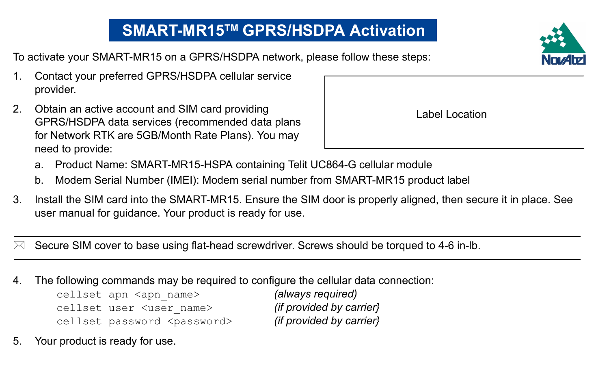## **SMART-MR15TM GPRS/HSDPA Activation**

To activate your SMART-MR15 on a GPRS/HSDPA network, please follow these steps:

- 1. Contact your preferred GPRS/HSDPA cellular service provider.
- 2. Obtain an active account and SIM card providing GPRS/HSDPA data services (recommended data plans for Network RTK are 5GB/Month Rate Plans). You may need to provide:
	- a. Product Name: SMART-MR15-HSPA containing Telit UC864-G cellular module
	- b. Modem Serial Number (IMEI): Modem serial number from SMART-MR15 product label
- 3. Install the SIM card into the SMART-MR15. Ensure the SIM door is properly aligned, then secure it in place. See user manual for guidance. Your product is ready for use.

Secure SIM cover to base using flat-head screwdriver. Screws should be torqued to 4-6 in-lb.

4. The following commands may be required to configure the cellular data connection:

cellset apn <apn name> *(always required)* cellset user <user\_name> *(if provided by carrier}* cellset password <password> *(if provided by carrier}*

5. Your product is ready for use.



Label Location